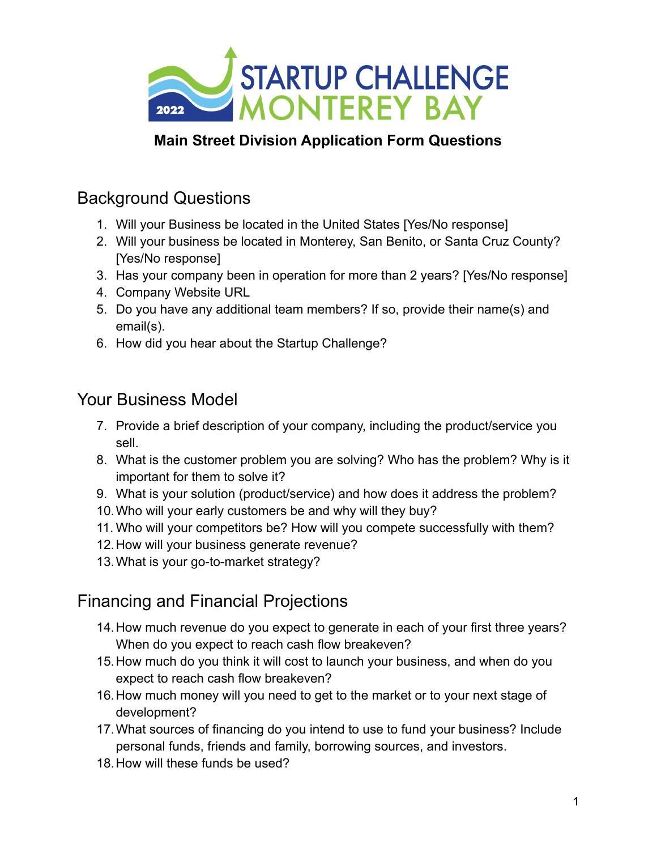

#### **Main Street Division Application Form Questions**

## Background Questions

- 1. Will your Business be located in the United States [Yes/No response]
- 2. Will your business be located in Monterey, San Benito, or Santa Cruz County? [Yes/No response]
- 3. Has your company been in operation for more than 2 years? [Yes/No response]
- 4. Company Website URL
- 5. Do you have any additional team members? If so, provide their name(s) and email(s).
- 6. How did you hear about the Startup Challenge?

#### Your Business Model

- 7. Provide a brief description of your company, including the product/service you sell.
- 8. What is the customer problem you are solving? Who has the problem? Why is it important for them to solve it?
- 9. What is your solution (product/service) and how does it address the problem?
- 10.Who will your early customers be and why will they buy?
- 11. Who will your competitors be? How will you compete successfully with them?
- 12.How will your business generate revenue?
- 13.What is your go-to-market strategy?

# Financing and Financial Projections

- 14.How much revenue do you expect to generate in each of your first three years? When do you expect to reach cash flow breakeven?
- 15.How much do you think it will cost to launch your business, and when do you expect to reach cash flow breakeven?
- 16.How much money will you need to get to the market or to your next stage of development?
- 17.What sources of financing do you intend to use to fund your business? Include personal funds, friends and family, borrowing sources, and investors.
- 18.How will these funds be used?